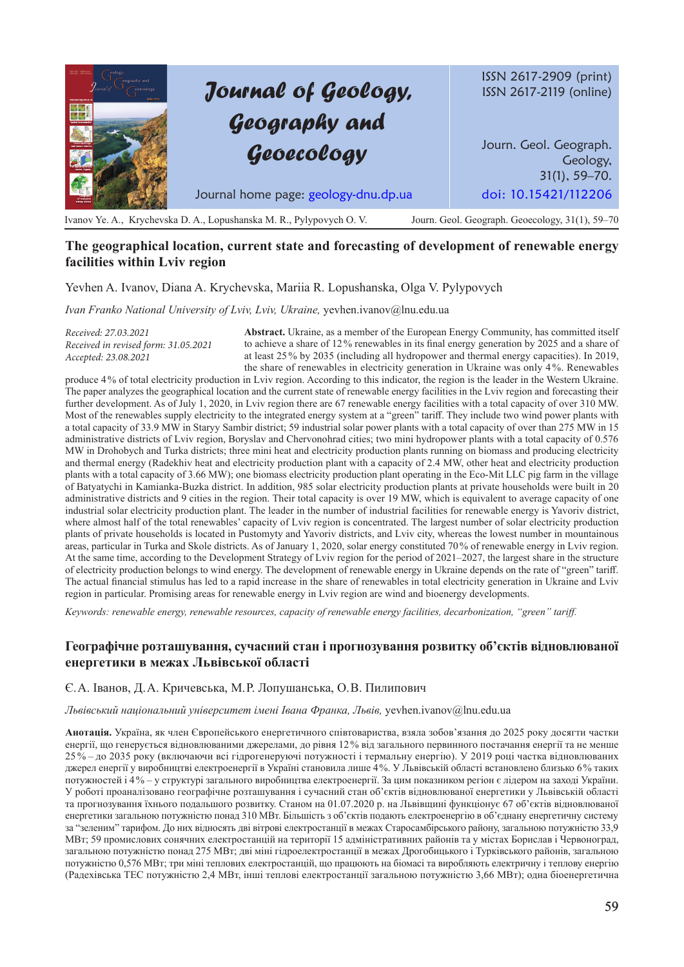# *Journal of Geology, Geography and Geoecology*

ISSN 2617-2909 (print) ISSN 2617-2119 (online)

Journ. Geol. Geograph. Geology, 31(1), 59–70. Journal home page: geology-dnu.dp.ua doi: 10.15421/112206

Ivanov Ye. A., Krychevska D. A., Lopushanska M. R., Pylypovych O. V. Journ. Geol. Geograph. Geoecology, 31(1), 59–70

# **The geographical location, current state and forecasting of development of renewable energy facilities within Lviv region**

Yevhen A. Ivanov, Diana A. Krychevska, Mariia R. Lopushanska, Olga V. Pylypovych

*Ivan Franko National University of Lviv, Lviv, Ukraine,* yevhen.ivanov@lnu.edu.ua

*Received: 27.03.2021 Received in revised form: 31.05.2021 Accepted: 23.08.2021*

**Abstract.** Ukraine, as a member of the European Energy Community, has committed itself to achieve a share of 12% renewables in its final energy generation by 2025 and a share of at least 25% by 2035 (including all hydropower and thermal energy capacities). In 2019, the share of renewables in electricity generation in Ukraine was only 4%. Renewables

produce 4% of total electricity production in Lviv region. According to this indicator, the region is the leader in the Western Ukraine. The paper analyzes the geographical location and the current state of renewable energy facilities in the Lviv region and forecasting their further development. As of July 1, 2020, in Lviv region there are 67 renewable energy facilities with a total capacity of over 310 MW. Most of the renewables supply electricity to the integrated energy system at a "green" tariff. They include two wind power plants with a total capacity of 33.9 MW in Staryy Sambir district; 59 industrial solar power plants with a total capacity of over than 275 MW in 15 administrative districts of Lviv region, Boryslav and Chervonohrad cities; two mini hydropower plants with a total capacity of 0.576 MW in Drohobych and Turka districts; three mini heat and electricity production plants running on biomass and producing electricity and thermal energy (Radekhiv heat and electricity production plant with a capacity of 2.4 MW, other heat and electricity production plants with a total capacity of 3.66 MW); one biomass electricity production plant operating in the Eco-Mit LLC pig farm in the village of Batyatychi in Kamianka-Buzka district. In addition, 985 solar electricity production plants at private households were built in 20 administrative districts and 9 cities in the region. Their total capacity is over 19 MW, which is equivalent to average capacity of one industrial solar electricity production plant. The leader in the number of industrial facilities for renewable energy is Yavoriv district, where almost half of the total renewables' capacity of Lviv region is concentrated. The largest number of solar electricity production plants of private households is located in Pustomyty and Yavoriv districts, and Lviv city, whereas the lowest number in mountainous areas, particular in Turka and Skole districts. As of January 1, 2020, solar energy constituted 70% of renewable energy in Lviv region. At the same time, according to the Development Strategy of Lviv region for the period of 2021–2027, the largest share in the structure of electricity production belongs to wind energy. The development of renewable energy in Ukraine depends on the rate of "green" tariff. The actual financial stimulus has led to a rapid increase in the share of renewables in total electricity generation in Ukraine and Lviv region in particular. Promising areas for renewable energy in Lviv region are wind and bioenergy developments.

*Keywords: renewable energy, renewable resources, capacity of renewable energy facilities, decarbonization, "green" tariff.*

## **Географічне розташування, сучасний стан і прогнозування розвитку об'єктів відновлюваної енергетики в межах Львівської області**

Є. А. Іванов, Д. А. Кричевська, М. Р. Лопушанська, О. В. Пилипович

#### *Львівський національний університет імені Івана Франка, Львів,* yevhen.ivanov@lnu.edu.ua

**Анотація.** Україна, як член Європейського енергетичного співтовариства, взяла зобов'язання до 2025 року досягти частки енергії, що генерується відновлюваними джерелами, до рівня 12% від загального первинного постачання енергії та не менше 25 % – до 2035 року (включаючи всі гідрогенеруючі потужності і термальну енергію). У 2019 році частка відновлюваних джерел енергії у виробництві електроенергії в Україні становила лише 4%. У Львівській області встановлено близько 6% таких потужностей і 4% ‒ у структурі загального виробництва електроенергії. За цим показником регіон є лідером на заході України. У роботі проаналізовано географічне розташування і сучасний стан об'єктів відновлюваної енергетики у Львівській області та прогнозування їхнього подальшого розвитку. Станом на 01.07.2020 р. на Львівщині функціонує 67 об'єктів відновлюваної енергетики загальною потужністю понад 310 МВт. Більшість з об'єктів подають електроенергію в об'єднану енергетичну систему за "зеленим" тарифом. До них відносять дві вітрові електростанції в межах Старосамбірського району, загальною потужністю 33,9 МВт; 59 промислових сонячних електростанцій на території 15 адміністративних районів та у містах Борислав і Червоноград, загальною потужністю понад 275 МВт; дві міні гідроелектростанції в межах Дрогобицького і Турківського районів, загальною потужністю 0,576 МВт; три міні теплових електростанцій, що працюють на біомасі та виробляють електричну і теплову енергію (Радехівська ТЕС потужністю 2,4 МВт, інші теплові електростанції загальною потужністю 3,66 МВт); одна біоенергетична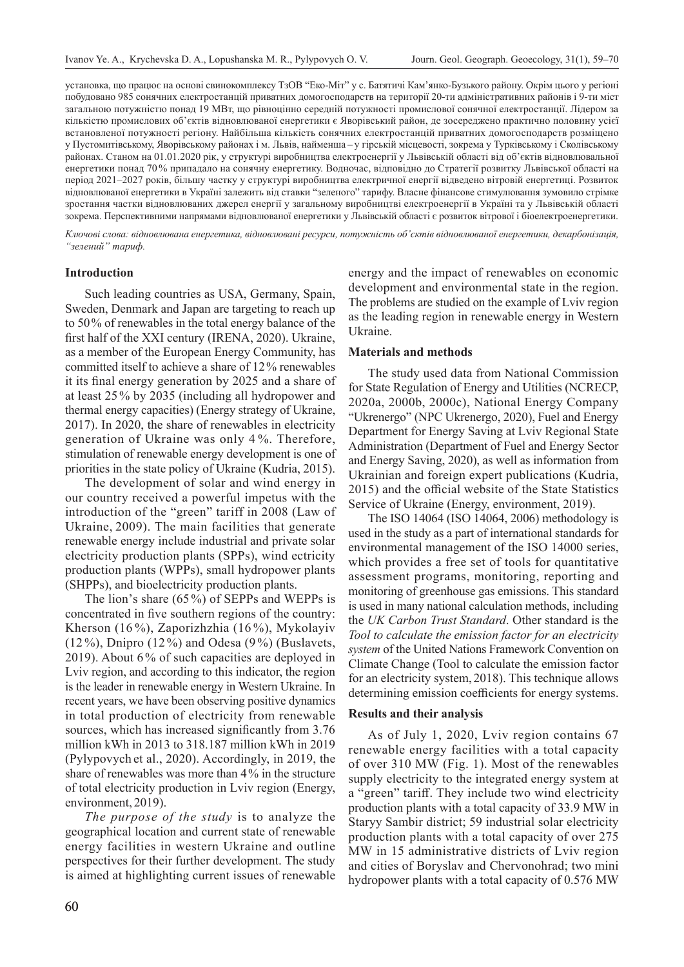установка, що працює на основі свинокомплексу ТзОВ "Еко-Міт" у с. Батятичі Кам'янко-Бузького району. Окрім цього у регіоні побудовано 985 сонячних електростанцій приватних домогосподарств на території 20‑ти адміністративних районів і 9‑ти міст загальною потужністю понад 19 МВт, що рівноцінно середній потужності промислової сонячної електростанції. Лідером за кількістю промислових об'єктів відновлюваної енергетики є Яворівський район, де зосереджено практично половину усієї встановленої потужності регіону. Найбільша кількість сонячних електростанцій приватних домогосподарств розміщено у Пустомитівському, Яворівському районах і м. Львів, найменша – у гірській місцевості, зокрема у Турківському і Сколівському районах. Станом на 01.01.2020 рік, у структурі виробництва електроенергії у Львівській області від об'єктів відновлювальної енергетики понад 70% припадало на сонячну енергетику. Водночас, відповідно до Стратегії розвитку Львівської області на період 2021–2027 років, більшу частку у структурі виробництва електричної енергії відведено вітровій енергетиці. Розвиток відновлюваної енергетики в Україні залежить від ставки "зеленого" тарифу. Власне фінансове стимулювання зумовило стрімке зростання частки відновлюваних джерел енергії у загальному виробництві електроенергії в Україні та у Львівській області зокрема. Перспективними напрямами відновлюваної енергетики у Львівській області є розвиток вітрової і біоелектроенергетики.

*Ключові слова: відновлювана енергетика, відновлювані ресурси, потужність об'єктів відновлюваної енергетики, декарбонізація, "зелений" тариф.*

#### **Introduction**

Such leading countries as USA, Germany, Spain, Sweden, Denmark and Japan are targeting to reach up to 50% of renewables in the total energy balance of the first half of the XXI century (IRENA, 2020). Ukraine, as a member of the European Energy Community, has committed itself to achieve a share of 12% renewables it its final energy generation by 2025 and a share of at least 25% by 2035 (including all hydropower and thermal energy capacities) (Energy strategy of Ukraine, 2017). In 2020, the share of renewables in electricity generation of Ukraine was only 4 %. Therefore, stimulation of renewable energy development is one of priorities in the state policy of Ukraine (Kudria, 2015).

The development of solar and wind energy in our country received a powerful impetus with the introduction of the "green" tariff in 2008 (Law of Ukraine, 2009). The main facilities that generate renewable energy include industrial and private solar electricity production plants (SPPs), wind ectricity production plants (WPPs), small hydropower plants (SHPPs), and bioelectricity production plants.

The lion's share (65%) of SEPPs and WEPPs is concentrated in five southern regions of the country: Kherson (16 %), Zaporizhzhia (16 %), Mykolayiv (12 %), Dnipro (12 %) and Odesa (9 %) (Buslavets, 2019). About 6 % of such capacities are deployed in Lviv region, and according to this indicator, the region is the leader in renewable energy in Western Ukraine. In recent years, we have been observing positive dynamics in total production of electricity from renewable sources, which has increased significantly from 3.76 million kWh in 2013 to 318.187 million kWh in 2019 (Pylypovych et al., 2020). Accordingly, in 2019, the share of renewables was more than 4% in the structure of total electricity production in Lviv region (Energy, environment, 2019).

*The purpose of the study* is to analyze the geographical location and current state of renewable energy facilities in western Ukraine and outline perspectives for their further development. The study is aimed at highlighting current issues of renewable

energy and the impact of renewables on economic development and environmental state in the region. The problems are studied on the example of Lviv region as the leading region in renewable energy in Western Ukraine.

## **Materials and methods**

The study used data from National Commission for State Regulation of Energy and Utilities (NCRECP, 2020a, 2000b, 2000c), National Energy Company "Ukrenergo" (NPC Ukrenergo, 2020), Fuel and Energy Department for Energy Saving at Lviv Regional State Administration (Department of Fuel and Energy Sector and Energy Saving, 2020), as well as information from Ukrainian and foreign expert publications (Kudria, 2015) and the official website of the State Statistics Service of Ukraine (Energy, environment, 2019).

The ISO 14064 (ISO 14064, 2006) methodology is used in the study as a part of international standards for environmental management of the ISO 14000 series, which provides a free set of tools for quantitative assessment programs, monitoring, reporting and monitoring of greenhouse gas emissions. This standard is used in many national calculation methods, including the *UK Carbon Trust Standard*. Other standard is the *Tool to calculate the emission factor for an electricity system* of the United Nations Framework Convention on Climate Change (Tool to calculate the emission factor for an electricity system, 2018). This technique allows determining emission coefficients for energy systems.

#### **Results and their analysis**

As of July 1, 2020, Lviv region contains 67 renewable energy facilities with a total capacity of over 310 MW (Fig. 1). Most of the renewables supply electricity to the integrated energy system at a "green" tariff. They include two wind electricity production plants with a total capacity of 33.9 MW in Staryy Sambir district; 59 industrial solar electricity production plants with a total capacity of over 275 MW in 15 administrative districts of Lviv region and cities of Boryslav and Chervonohrad; two mini hydropower plants with a total capacity of 0.576 MW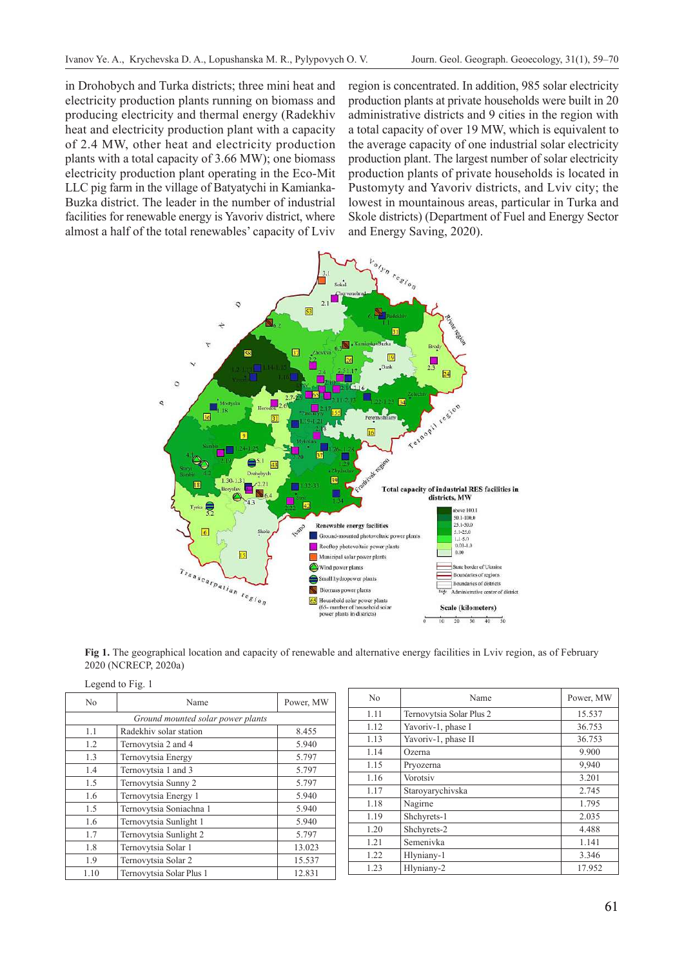in Drohobych and Turka districts; three mini heat and electricity production plants running on biomass and producing electricity and thermal energy (Radekhiv heat and electricity production plant with a capacity of 2.4 MW, other heat and electricity production plants with a total capacity of 3.66 MW); one biomass electricity production plant operating in the Eco-Mit LLC pig farm in the village of Batyatychi in Kamianka-Buzka district. The leader in the number of industrial facilities for renewable energy is Yavoriv district, where almost a half of the total renewables' capacity of Lviv

region is concentrated. In addition, 985 solar electricity production plants at private households were built in 20 administrative districts and 9 cities in the region with a total capacity of over 19 MW, which is equivalent to the average capacity of one industrial solar electricity production plant. The largest number of solar electricity production plants of private households is located in Pustomyty and Yavoriv districts, and Lviv city; the lowest in mountainous areas, particular in Turka and Skole districts) (Department of Fuel and Energy Sector and Energy Saving, 2020).



**Fig 1.** The geographical location and capacity of renewable and alternative energy facilities in Lviv region, as of February 2020 (NCRECP, 2020a)

| Legend to Fig. 1 |                                   |           |  |  |
|------------------|-----------------------------------|-----------|--|--|
| N <sub>0</sub>   | Name                              | Power, MW |  |  |
|                  | Ground mounted solar power plants |           |  |  |
| 1.1              | Radekhiv solar station            | 8.455     |  |  |
| 1.2              | Ternovytsia 2 and 4               | 5.940     |  |  |
| 1.3              | Ternovytsia Energy                | 5.797     |  |  |
| 1.4              | Ternovytsia 1 and 3               | 5.797     |  |  |
| 1.5              | Ternovytsia Sunny 2               | 5.797     |  |  |
| 1.6              | Ternovytsia Energy 1              | 5.940     |  |  |
| 1.5              | Ternovytsia Soniachna 1           | 5.940     |  |  |
| 1.6              | Ternovytsia Sunlight 1            | 5.940     |  |  |
| 1.7              | Ternovytsia Sunlight 2            | 5.797     |  |  |
| 1.8              | Ternovytsia Solar 1               | 13.023    |  |  |
| 1.9              | Ternovytsia Solar 2               | 15.537    |  |  |
| 1.10             | Ternovytsia Solar Plus 1          | 12.831    |  |  |

| No   | Name                     | Power, MW |
|------|--------------------------|-----------|
| 1.11 | Ternovytsia Solar Plus 2 | 15.537    |
| 1.12 | Yavoriv-1, phase I       | 36.753    |
| 1.13 | Yavoriv-1, phase II      | 36.753    |
| 1.14 | Ozerna                   | 9.900     |
| 1.15 | Pryozerna                | 9,940     |
| 1.16 | Vorotsiv                 | 3.201     |
| 1.17 | Staroyarychivska         | 2.745     |
| 1.18 | Nagirne                  | 1.795     |
| 1.19 | Shchyrets-1              | 2.035     |
| 1.20 | Shchyrets-2              | 4.488     |
| 1.21 | Semenivka                | 1.141     |
| 1.22 | Hlyniany-1               | 3.346     |
| 1.23 | Hlyniany-2               | 17.952    |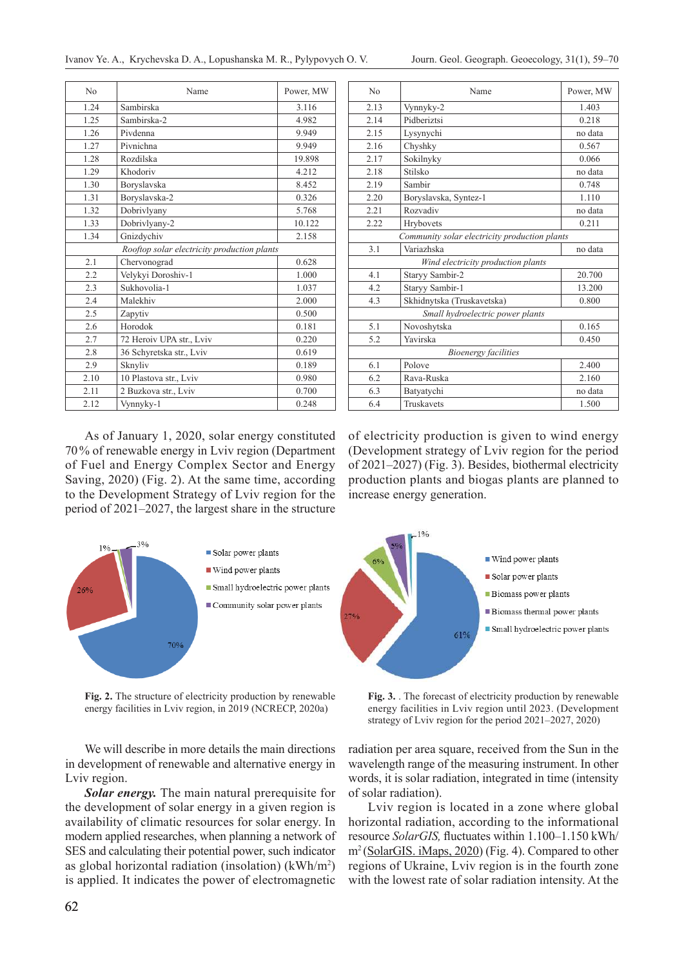| N <sub>0</sub>                              | Name                     | Power, MW |
|---------------------------------------------|--------------------------|-----------|
| 1.24                                        | Sambirska                | 3.116     |
| 1.25                                        | Sambirska-2              | 4.982     |
| 1.26                                        | Pivdenna                 | 9.949     |
| 1.27                                        | Pivnichna                | 9.949     |
| 1.28                                        | Rozdilska                | 19.898    |
| 1.29                                        | Khodoriv                 | 4.212     |
| 1.30                                        | Boryslavska              | 8.452     |
| 1.31                                        | Boryslavska-2            | 0.326     |
| 1.32                                        | Dobrivlyany              | 5.768     |
| 1.33                                        | Dobrivlyany-2            | 10.122    |
| 1.34                                        | Gnizdychiv               | 2.158     |
| Rooftop solar electricity production plants |                          |           |
| 2.1                                         | Chervonograd             | 0.628     |
| 2.2                                         | Velykyi Doroshiv-1       | 1.000     |
| 2.3                                         | Sukhovolia-1             | 1.037     |
| 2.4                                         | Malekhiv                 | 2.000     |
| 2.5                                         | Zapytiv                  | 0.500     |
| 2.6                                         | Horodok                  | 0.181     |
| 2.7                                         | 72 Heroiv UPA str., Lviv | 0.220     |
| 2.8                                         | 36 Schyretska str., Lviv | 0.619     |
| 2.9                                         | Sknyliv                  | 0.189     |
| 2.10                                        | 10 Plastova str., Lviv   | 0.980     |
| 2.11                                        | 2 Buzkova str., Lviv     | 0.700     |
| 2.12                                        | Vynnyky-1                | 0.248     |

| No                                 | Name                                          | Power, MW |  |
|------------------------------------|-----------------------------------------------|-----------|--|
| 2.13                               | Vynnyky-2                                     | 1.403     |  |
| 2.14                               | Pidberiztsi                                   | 0.218     |  |
| 2.15                               | Lysynychi                                     | no data   |  |
| 2.16                               | Chyshky                                       | 0.567     |  |
| 2.17                               | Sokilnyky                                     | 0.066     |  |
| 2.18                               | Stilsko                                       | no data   |  |
| 2.19                               | Sambir                                        | 0.748     |  |
| 2.20                               | Boryslavska, Syntez-1                         | 1.110     |  |
| 2.21                               | Rozvadiy                                      | no data   |  |
| 2.22                               | Hrybovets                                     | 0.211     |  |
|                                    | Community solar electricity production plants |           |  |
| 3.1                                | Variazhska                                    | no data   |  |
| Wind electricity production plants |                                               |           |  |
| 4.1                                | Staryy Sambir-2                               | 20.700    |  |
| 4.2                                | Staryy Sambir-1                               | 13.200    |  |
| 4.3                                | Skhidnytska (Truskavetska)                    | 0.800     |  |
| Small hydroelectric power plants   |                                               |           |  |
| 5.1                                | Novoshytska                                   | 0.165     |  |
| 5.2                                | Yavirska                                      | 0.450     |  |
| <b>Bioenergy facilities</b>        |                                               |           |  |
| 6.1                                | Polove                                        | 2.400     |  |
| 6.2                                | Rava-Ruska                                    | 2.160     |  |
| 6.3                                | Batyatychi                                    | no data   |  |
| 6.4                                | <b>Truskavets</b>                             | 1.500     |  |

As of January 1, 2020, solar energy constituted 70% of renewable energy in Lviv region (Department of Fuel and Energy Complex Sector and Energy Saving, 2020) (Fig. 2). At the same time, according to the Development Strategy of Lviv region for the period of 2021–2027, the largest share in the structure



**Fig. 2.** The structure of electricity production by renewable energy facilities in Lviv region, in 2019 (NCRECP, 2020a)

We will describe in more details the main directions in development of renewable and alternative energy in Lviv region.

*Solar energy.* The main natural prerequisite for the development of solar energy in a given region is availability of climatic resources for solar energy. In modern applied researches, when planning a network of SES and calculating their potential power, such indicator as global horizontal radiation (insolation) (kWh/m<sup>2</sup>) is applied. It indicates the power of electromagnetic

of electricity production is given to wind energy (Development strategy of Lviv region for the period of 2021–2027) (Fig. 3). Besides, biothermal electricity production plants and biogas plants are planned to increase energy generation.



**Fig. 3.** . The forecast of electricity production by renewable energy facilities in Lviv region until 2023. (Development strategy of Lviv region for the period 2021–2027, 2020)

radiation per area square, received from the Sun in the wavelength range of the measuring instrument. In other words, it is solar radiation, integrated in time (intensity of solar radiation).

Lviv region is located in a zone where global horizontal radiation, according to the informational resource *SolarGIS,* fluctuates within 1.100–1.150 kWh/ m2 (SolarGIS. iMaps, 2020) (Fig. 4). Compared to other regions of Ukraine, Lviv region is in the fourth zone with the lowest rate of solar radiation intensity. At the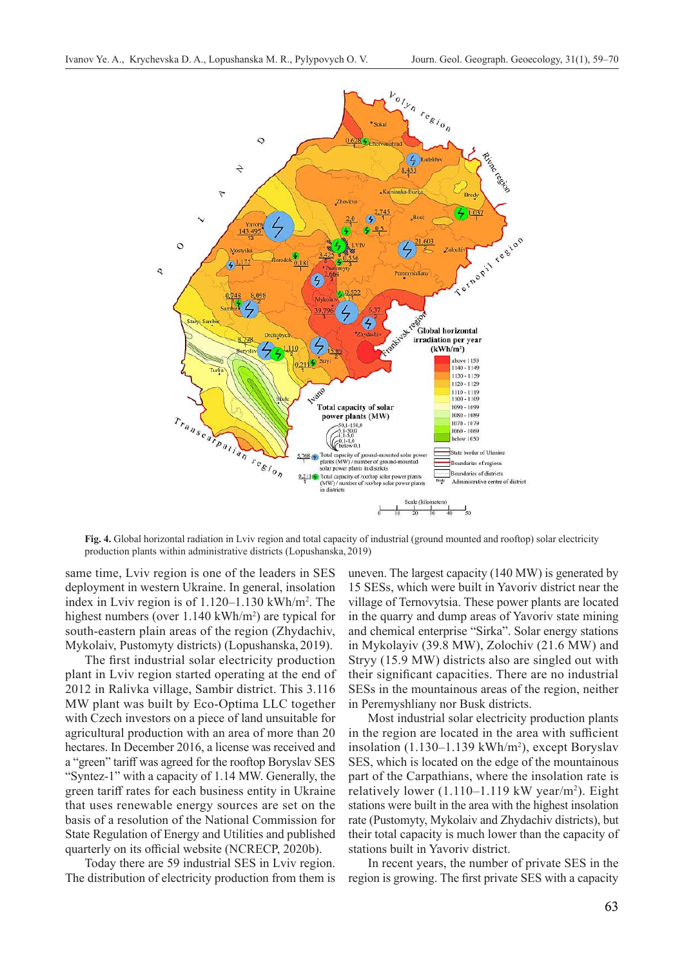

**Fig. 4.** Global horizontal radiation in Lviv region and total capacity of industrial (ground mounted and rooftop) solar electricity production plants within administrative districts (Lopushanska, 2019)

same time, Lviv region is one of the leaders in SES deployment in western Ukraine. In general, insolation index in Lviv region is of 1.120–1.130 kWh/m<sup>2</sup> . The highest numbers (over 1.140 kWh/m<sup>2</sup>) are typical for south-eastern plain areas of the region (Zhydachiv, Mykolaiv, Pustomyty districts) (Lopushanska, 2019).

The first industrial solar electricity production plant in Lviv region started operating at the end of 2012 in Ralivka village, Sambir district. This 3.116 MW plant was built by Eco-Optima LLC together with Czech investors on a piece of land unsuitable for agricultural production with an area of more than 20 hectares. In December 2016, a license was received and a "green" tariff was agreed for the rooftop Boryslav SES "Syntez‑1" with a capacity of 1.14 MW. Generally, the green tariff rates for each business entity in Ukraine that uses renewable energy sources are set on the basis of a resolution of the National Commission for State Regulation of Energy and Utilities and published quarterly on its official website (NCRECP, 2020b).

Today there are 59 industrial SES in Lviv region. The distribution of electricity production from them is uneven. The largest capacity (140 MW) is generated by 15 SESs, which were built in Yavoriv district near the village of Ternovytsia. These power plants are located in the quarry and dump areas of Yavoriv state mining and chemical enterprise "Sirka". Solar energy stations in Mykolayiv (39.8 MW), Zolochiv (21.6 MW) and Stryy (15.9 MW) districts also are singled out with their significant capacities. There are no industrial SESs in the mountainous areas of the region, neither in Peremyshliany nor Busk districts.

Most industrial solar electricity production plants in the region are located in the area with sufficient insolation (1.130–1.139 kWh/m<sup>2</sup> ), except Boryslav SES, which is located on the edge of the mountainous part of the Carpathians, where the insolation rate is relatively lower (1.110–1.119 kW year/m<sup>2</sup>). Eight stations were built in the area with the highest insolation rate (Pustomyty, Mykolaiv and Zhydachiv districts), but their total capacity is much lower than the capacity of stations built in Yavoriv district.

In recent years, the number of private SES in the region is growing. The first private SES with a capacity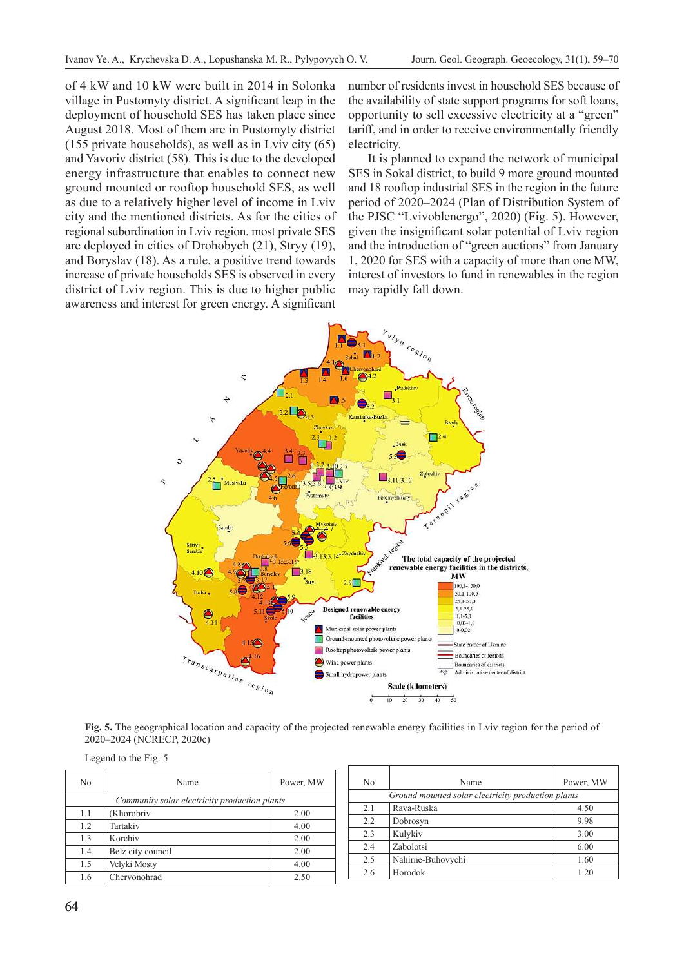of 4 kW and 10 kW were built in 2014 in Solonka village in Pustomyty district. A significant leap in the deployment of household SES has taken place since August 2018. Most of them are in Pustomyty district (155 private households), as well as in Lviv city (65) and Yavoriv district (58). This is due to the developed energy infrastructure that enables to connect new ground mounted or rooftop household SES, as well as due to a relatively higher level of income in Lviv city and the mentioned districts. As for the cities of regional subordination in Lviv region, most private SES are deployed in cities of Drohobych (21), Stryy (19), and Boryslav (18). As a rule, a positive trend towards increase of private households SES is observed in every district of Lviv region. This is due to higher public awareness and interest for green energy. A significant

number of residents invest in household SES because of the availability of state support programs for soft loans, opportunity to sell excessive electricity at a "green" tariff, and in order to receive environmentally friendly electricity.

It is planned to expand the network of municipal SES in Sokal district, to build 9 more ground mounted and 18 rooftop industrial SES in the region in the future period of 2020–2024 (Plan of Distribution System of the PJSC "Lvivoblenergo", 2020) (Fig. 5). However, given the insignificant solar potential of Lviv region and the introduction of "green auctions" from January 1, 2020 for SES with a capacity of more than one MW, interest of investors to fund in renewables in the region may rapidly fall down.



**Fig. 5.** The geographical location and capacity of the projected renewable energy facilities in Lviv region for the period of 2020–2024 (NCRECP, 2020c)

Legend to the Fig. 5

| N <sub>0</sub>                                | Name              | Power, MW |  |
|-----------------------------------------------|-------------------|-----------|--|
| Community solar electricity production plants |                   |           |  |
| 1.1                                           | (Khorobriv        | 2.00      |  |
| 1.2                                           | Tartakiv          | 4.00      |  |
| 1.3                                           | Korchiv           | 2.00      |  |
| 1.4                                           | Belz city council | 2.00      |  |
| 1.5                                           | Velyki Mosty      | 4.00      |  |
| 1.6                                           | Chervonohrad      | 2.50      |  |

| N <sub>0</sub>                                     | Name              | Power, MW |  |
|----------------------------------------------------|-------------------|-----------|--|
| Ground mounted solar electricity production plants |                   |           |  |
| 2.1                                                | Rava-Ruska        | 4.50      |  |
| 2.2                                                | Dobrosyn          | 9.98      |  |
| 2.3                                                | Kulykiv           | 3.00      |  |
| 2.4                                                | Zabolotsi         | 6.00      |  |
| 2.5                                                | Nahirne-Buhovychi | 1.60      |  |
| 2.6                                                | Horodok           | 1.20      |  |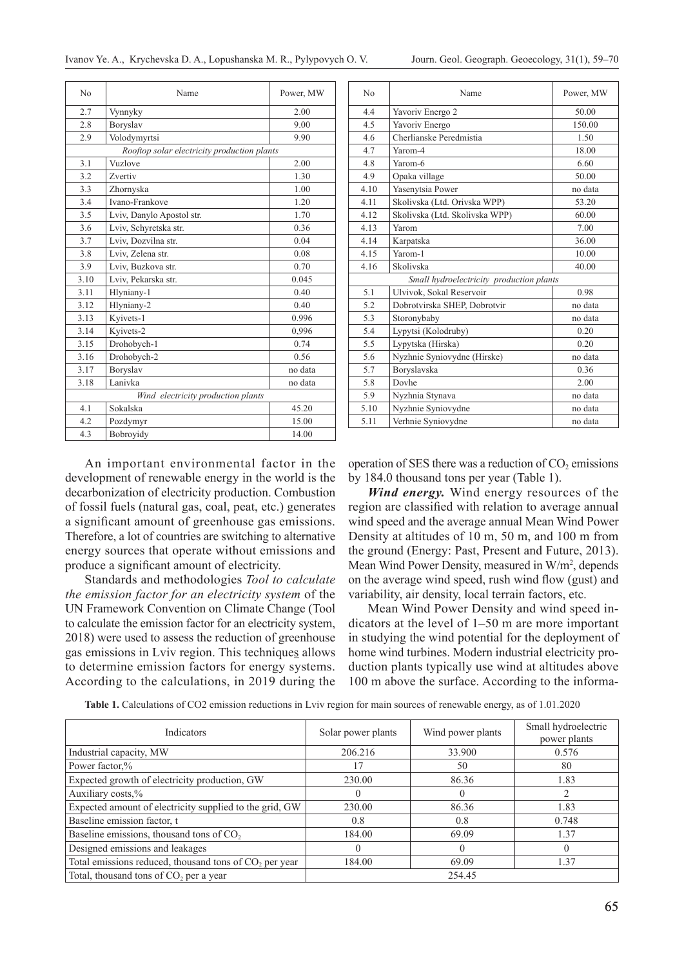| N <sub>0</sub>                     | Name                                        | Power, MW |  |
|------------------------------------|---------------------------------------------|-----------|--|
| 2.7                                | Vynnyky                                     | 2.00      |  |
| 2.8                                | Boryslav                                    | 9.00      |  |
| 2.9                                | Volodymyrtsi                                | 9.90      |  |
|                                    | Rooftop solar electricity production plants |           |  |
| 3.1                                | Vuzlove                                     | 2.00      |  |
| 3.2                                | Zvertiv                                     | 1.30      |  |
| 3.3                                | Zhornyska                                   | 1.00      |  |
| 3.4                                | Ivano-Frankove                              | 1.20      |  |
| 3.5                                | Lviv, Danylo Apostol str.                   | 1.70      |  |
| 3.6                                | Lviv, Schyretska str.                       | 0.36      |  |
| 3.7                                | Lviv, Dozvilna str.                         | 0.04      |  |
| 3.8                                | Lviv, Zelena str.                           | 0.08      |  |
| 3.9                                | Lviv, Buzkova str.                          | 0.70      |  |
| 3.10                               | Lviv, Pekarska str.                         | 0.045     |  |
| 3.11                               | Hlyniany-1                                  | 0.40      |  |
| 3.12                               | Hlyniany-2                                  | 0.40      |  |
| 3.13                               | Kyivets-1                                   | 0.996     |  |
| 3.14                               | Kyivets-2                                   | 0.996     |  |
| 3.15                               | Drohobych-1                                 | 0.74      |  |
| 3.16                               | Drohobych-2                                 | 0.56      |  |
| 3.17                               | Boryslav                                    | no data   |  |
| 3.18                               | Lanivka                                     | no data   |  |
| Wind electricity production plants |                                             |           |  |
| 4.1                                | Sokalska                                    | 45.20     |  |
| 4.2                                | Pozdymyr                                    | 15.00     |  |
| 4.3                                | Bobroyidy                                   | 14.00     |  |

An important environmental factor in the development of renewable energy in the world is the decarbonization of electricity production. Combustion of fossil fuels (natural gas, coal, peat, etc.) generates a significant amount of greenhouse gas emissions. Therefore, a lot of countries are switching to alternative energy sources that operate without emissions and produce a significant amount of electricity.

Standards and methodologies *Tool to calculate the emission factor for an electricity system* of the UN Framework Convention on Climate Change (Tool to calculate the emission factor for an electricity system, 2018) were used to assess the reduction of greenhouse gas emissions in Lviv region. This techniques allows to determine emission factors for energy systems. According to the calculations, in 2019 during the

| No                                       | Name                           | Power, MW |
|------------------------------------------|--------------------------------|-----------|
| 4.4                                      | Yavoriv Energo 2               | 50.00     |
| 4.5                                      | Yavoriv Energo                 | 150.00    |
| 4.6                                      | Cherlianske Peredmistia        | 1.50      |
| 4.7                                      | Yarom-4                        | 18.00     |
| 4.8                                      | Yarom-6                        | 6.60      |
| 4.9                                      | Opaka village                  | 50.00     |
| 4.10                                     | Yasenytsia Power               | no data   |
| 4.11                                     | Skolivska (Ltd. Orivska WPP)   | 53.20     |
| 4.12                                     | Skolivska (Ltd. Skolivska WPP) | 60.00     |
| 4.13                                     | Yarom                          | 7.00      |
| 4.14                                     | Karpatska                      | 36.00     |
| 4.15                                     | Yarom-1                        | 10.00     |
| 4.16                                     | Skolivska                      | 40.00     |
| Small hydroelectricity production plants |                                |           |
| 5.1                                      | Ulvivok, Sokal Reservoir       | 0.98      |
| 5.2                                      | Dobrotvirska SHEP, Dobrotvir   | no data   |
| 5.3                                      | Storonybaby                    | no data   |
| 5.4                                      | Lypytsi (Kolodruby)            | 0.20      |
| 5.5                                      | Lypytska (Hirska)              | 0.20      |
| 5.6                                      | Nyzhnie Syniovydne (Hirske)    | no data   |
| 5.7                                      | Boryslavska                    | 0.36      |
| 5.8                                      | Dovhe                          | 2.00      |
| 5.9                                      | Nyzhnia Stynava                | no data   |
| 5.10                                     | Nyzhnie Syniovydne             | no data   |
| 5.11                                     | Verhnie Syniovydne             | no data   |

operation of SES there was a reduction of  $CO<sub>2</sub>$  emissions by 184.0 thousand tons per year (Table 1).

*Wind energy.* Wind energy resources of the region are classified with relation to average annual wind speed and the average annual Mean Wind Power Density at altitudes of 10 m, 50 m, and 100 m from the ground (Energy: Past, Present and Future, 2013). Mean Wind Power Density, measured in W/m<sup>2</sup>, depends on the average wind speed, rush wind flow (gust) and variability, air density, local terrain factors, etc.

Mean Wind Power Density and wind speed indicators at the level of 1–50 m are more important in studying the wind potential for the deployment of home wind turbines. Modern industrial electricity production plants typically use wind at altitudes above 100 m above the surface. According to the informa-

| Indicators                                               | Solar power plants | Wind power plants | Small hydroelectric<br>power plants |
|----------------------------------------------------------|--------------------|-------------------|-------------------------------------|
| Industrial capacity, MW                                  | 206.216            | 33.900            | 0.576                               |
| Power factor,%                                           | 17                 | 50                | 80                                  |
| Expected growth of electricity production, GW            | 230.00             | 86.36             | 1.83                                |
| Auxiliary costs,%                                        |                    | $\mathbf{0}$      |                                     |
| Expected amount of electricity supplied to the grid, GW  | 230.00             | 86.36             | 1.83                                |
| Baseline emission factor, t                              | 0.8                | 0.8               | 0.748                               |
| Baseline emissions, thousand tons of $CO2$               | 184.00             | 69.09             | 1.37                                |
| Designed emissions and leakages                          |                    |                   |                                     |
| Total emissions reduced, thousand tons of $CO2$ per year | 184.00             | 69.09             | 1.37                                |
| Total, thousand tons of $CO2$ per a year                 |                    | 254.45            |                                     |

**Table 1.** Calculations of CO2 emission reductions in Lviv region for main sources of renewable energy, as of 1.01.2020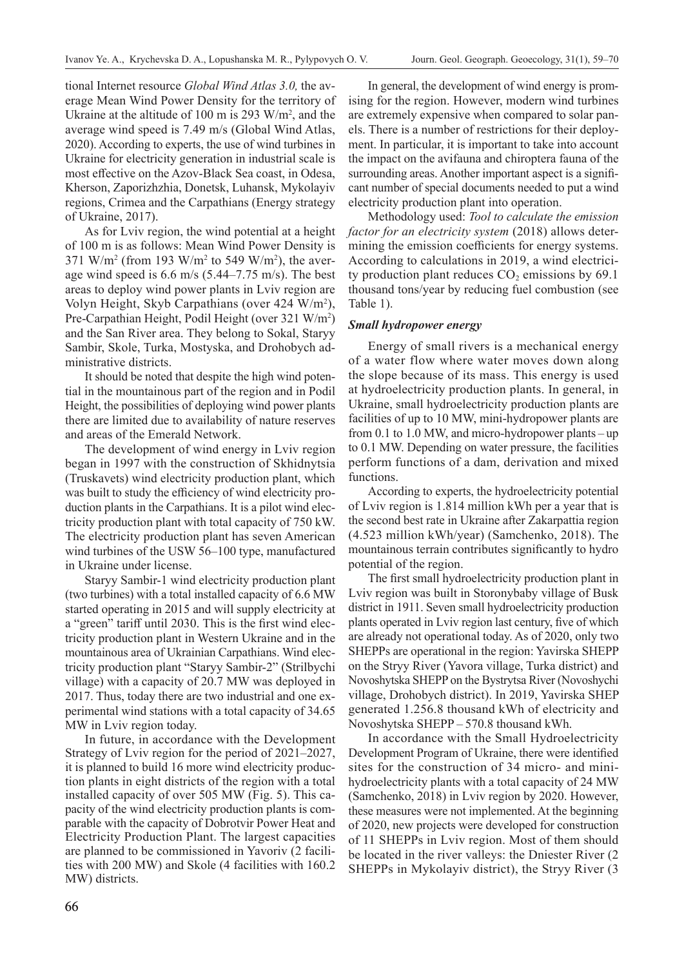tional Internet resource *Global Wind Atlas 3.0,* the average Mean Wind Power Density for the territory of Ukraine at the altitude of 100 m is 293  $W/m^2$ , and the average wind speed is 7.49 m/s (Global Wind Atlas, 2020). According to experts, the use of wind turbines in Ukraine for electricity generation in industrial scale is most effective on the Azov-Black Sea coast, in Odesa, Kherson, Zaporizhzhia, Donetsk, Luhansk, Mykolayiv regions, Crimea and the Carpathians (Energy strategy of Ukraine, 2017).

As for Lviv region, the wind potential at a height of 100 m is as follows: Mean Wind Power Density is 371 W/m<sup>2</sup> (from 193 W/m<sup>2</sup> to 549 W/m<sup>2</sup>), the average wind speed is  $6.6$  m/s  $(5.44-7.75$  m/s). The best areas to deploy wind power plants in Lviv region are Volyn Height, Skyb Carpathians (over 424 W/m<sup>2</sup>), Pre-Carpathian Height, Podil Height (over 321 W/m<sup>2</sup>) and the San River area. They belong to Sokal, Staryy Sambir, Skole, Turka, Mostyska, and Drohobych administrative districts.

It should be noted that despite the high wind potential in the mountainous part of the region and in Podil Height, the possibilities of deploying wind power plants there are limited due to availability of nature reserves and areas of the Emerald Network.

The development of wind energy in Lviv region began in 1997 with the construction of Skhidnytsia (Truskavets) wind electricity production plant, which was built to study the efficiency of wind electricity production plants in the Carpathians. It is a pilot wind electricity production plant with total capacity of 750 kW. The electricity production plant has seven American wind turbines of the USW 56–100 type, manufactured in Ukraine under license.

Staryy Sambir‑1 wind electricity production plant (two turbines) with a total installed capacity of 6.6 MW started operating in 2015 and will supply electricity at a "green" tariff until 2030. This is the first wind electricity production plant in Western Ukraine and in the mountainous area of Ukrainian Carpathians. Wind electricity production plant "Staryy Sambir-2" (Strilbychi village) with a capacity of 20.7 MW was deployed in 2017. Thus, today there are two industrial and one experimental wind stations with a total capacity of 34.65 MW in Lviv region today.

In future, in accordance with the Development Strategy of Lviv region for the period of 2021–2027, it is planned to build 16 more wind electricity production plants in eight districts of the region with a total installed capacity of over 505 MW (Fig. 5). This capacity of the wind electricity production plants is comparable with the capacity of Dobrotvir Power Heat and Electricity Production Plant. The largest capacities are planned to be commissioned in Yavoriv (2 facilities with 200 MW) and Skole (4 facilities with 160.2 MW) districts.

In general, the development of wind energy is promising for the region. However, modern wind turbines are extremely expensive when compared to solar panels. There is a number of restrictions for their deployment. In particular, it is important to take into account the impact on the avifauna and сhiroptera fauna of the surrounding areas. Another important aspect is a significant number of special documents needed to put a wind electricity production plant into operation.

Methodology used: *Tool to calculate the emission factor for an electricity system* (2018) allows determining the emission coefficients for energy systems. According to calculations in 2019, a wind electricity production plant reduces  $CO<sub>2</sub>$  emissions by 69.1 thousand tons/year by reducing fuel combustion (see Table 1).

### *Small hydropower energy*

Energy of small rivers is a mechanical energy of a water flow where water moves down along the slope because of its mass. This energy is used at hydroelectricity production plants. In general, in Ukraine, small hydroelectricity production plants are facilities of up to 10 MW, mini-hydropower plants are from 0.1 to 1.0 MW, and micro-hydropower plants – up to 0.1 MW. Depending on water pressure, the facilities perform functions of a dam, derivation and mixed functions.

According to experts, the hydroelectricity potential of Lviv region is 1.814 million kWh per a year that is the second best rate in Ukraine after Zakarpattia region (4.523 million kWh/year) (Samchenko, 2018). The mountainous terrain contributes significantly to hydro potential of the region.

The first small hydroelectricity production plant in Lviv region was built in Storonybaby village of Busk district in 1911. Seven small hydroelectricity production plants operated in Lviv region last century, five of which are already not operational today. As of 2020, only two SHEPPs are operational in the region: Yavirska SHEPP on the Stryy River (Yavora village, Turka district) and Novoshytska SHEPP on the Bystrytsa River (Novoshychi village, Drohobych district). In 2019, Yavirska SHEP generated 1.256.8 thousand kWh of electricity and Novoshytska SHEPP – 570.8 thousand kWh.

In accordance with the Small Hydroelectricity Development Program of Ukraine, there were identified sites for the construction of 34 micro- and minihydroelectricity plants with a total capacity of 24 MW (Samchenko, 2018) in Lviv region by 2020. However, these measures were not implemented. At the beginning of 2020, new projects were developed for construction of 11 SHEPPs in Lviv region. Most of them should be located in the river valleys: the Dniester River (2 SHEPPs in Mykolayiv district), the Stryy River (3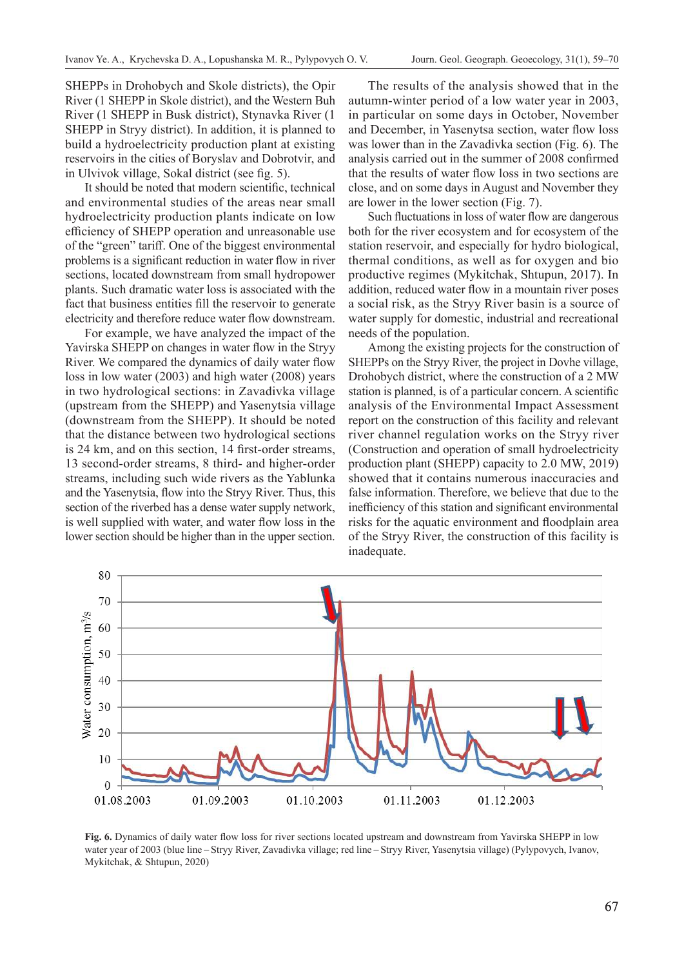SHEPPs in Drohobych and Skole districts), the Opir River (1 SHEPP in Skole district), and the Western Buh River (1 SHEPP in Busk district), Stynavka River (1 SHEPP in Stryy district). In addition, it is planned to build a hydroelectricity production plant at existing reservoirs in the cities of Boryslav and Dobrotvir, and in Ulvivok village, Sokal district (see fig. 5).

It should be noted that modern scientific, technical and environmental studies of the areas near small hydroelectricity production plants indicate on low efficiency of SHEPP operation and unreasonable use of the "green" tariff. One of the biggest environmental problems is a significant reduction in water flow in river sections, located downstream from small hydropower plants. Such dramatic water loss is associated with the fact that business entities fill the reservoir to generate electricity and therefore reduce water flow downstream.

For example, we have analyzed the impact of the Yavirska SHEPP on changes in water flow in the Stryy River. We compared the dynamics of daily water flow loss in low water (2003) and high water (2008) years in two hydrological sections: in Zavadivka village (upstream from the SHEPP) and Yasenytsia village (downstream from the SHEPP). It should be noted that the distance between two hydrological sections is 24 km, and on this section, 14 first-order streams, 13 second-order streams, 8 third- and higher-order streams, including such wide rivers as the Yablunka and the Yasenytsia, flow into the Stryy River. Thus, this section of the riverbed has a dense water supply network, is well supplied with water, and water flow loss in the lower section should be higher than in the upper section.

The results of the analysis showed that in the autumn-winter period of a low water year in 2003, in particular on some days in October, November and December, in Yasenytsa section, water flow loss was lower than in the Zavadivka section (Fig. 6). The analysis carried out in the summer of 2008 confirmed that the results of water flow loss in two sections are close, and on some days in August and November they are lower in the lower section (Fig. 7).

Such fluctuations in loss of water flow are dangerous both for the river ecosystem and for ecosystem of the station reservoir, and especially for hydro biological, thermal conditions, as well as for oxygen and bio productive regimes (Mykitchak, Shtupun, 2017). In addition, reduced water flow in a mountain river poses a social risk, as the Stryy River basin is a source of water supply for domestic, industrial and recreational needs of the population.

Among the existing projects for the construction of SHEPPs on the Stryy River, the project in Dovhe village, Drohobych district, where the construction of a 2 MW station is planned, is of a particular concern. A scientific analysis of the Environmental Impact Assessment report on the construction of this facility and relevant river channel regulation works on the Stryy river (Construction and operation of small hydroelectricity production plant (SHEPP) capacity to 2.0 MW, 2019) showed that it contains numerous inaccuracies and false information. Therefore, we believe that due to the inefficiency of this station and significant environmental risks for the aquatic environment and floodplain area of the Stryy River, the construction of this facility is inadequate.



**Fig. 6.** Dynamics of daily water flow loss for river sections located upstream and downstream from Yavirska SHEPP in low water year of 2003 (blue line – Stryy River, Zavadivka village; red line – Stryy River, Yasenytsia village) (Pylypovych, Ivanov, Mykitchak, & Shtupun, 2020)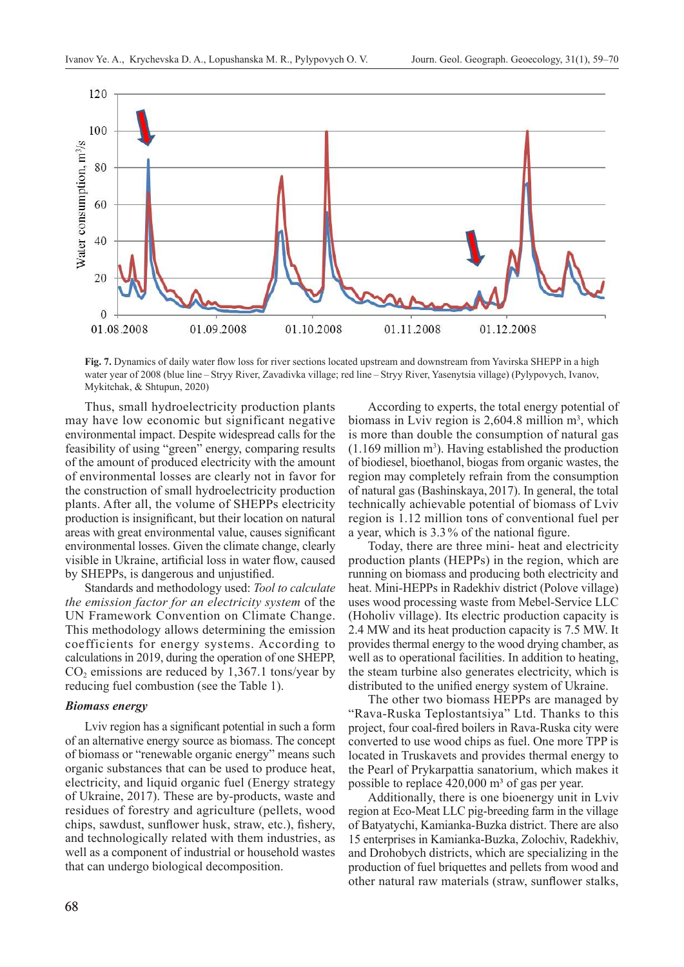

**Fig. 7.** Dynamics of daily water flow loss for river sections located upstream and downstream from Yavirska SHEPP in a high water year of 2008 (blue line – Stryy River, Zavadivka village; red line – Stryy River, Yasenytsia village) (Pylypovych, Ivanov, Mykitchak, & Shtupun, 2020)

Thus, small hydroelectricity production plants may have low economic but significant negative environmental impact. Despite widespread calls for the feasibility of using "green" energy, comparing results of the amount of produced electricity with the amount of environmental losses are clearly not in favor for the construction of small hydroelectricity production plants. After all, the volume of SHEPPs electricity production is insignificant, but their location on natural areas with great environmental value, causes significant environmental losses. Given the climate change, clearly visible in Ukraine, artificial loss in water flow, caused by SHEPPs, is dangerous and unjustified.

Standards and methodology used: *Tool to calculate the emission factor for an electricity system* of the UN Framework Convention on Climate Change. This methodology allows determining the emission coefficients for energy systems. According to calculations in 2019, during the operation of one SHEPP,  $CO<sub>2</sub>$  emissions are reduced by 1,367.1 tons/year by reducing fuel combustion (see the Table 1).

#### *Biomass energy*

Lviv region has a significant potential in such a form of an alternative energy source as biomass. The concept of biomass or "renewable organic energy" means such organic substances that can be used to produce heat, electricity, and liquid organic fuel (Energy strategy of Ukraine, 2017). These are by-products, waste and residues of forestry and agriculture (pellets, wood chips, sawdust, sunflower husk, straw, etc.), fishery, and technologically related with them industries, as well as a component of industrial or household wastes that can undergo biological decomposition.

According to experts, the total energy potential of biomass in Lviv region is  $2,604.8$  million  $m<sup>3</sup>$ , which is more than double the consumption of natural gas  $(1.169 \text{ million m}^3)$ . Having established the production of biodiesel, bioethanol, biogas from organic wastes, the region may completely refrain from the consumption of natural gas (Bashinskaya, 2017). In general, the total technically achievable potential of biomass of Lviv region is 1.12 million tons of conventional fuel per a year, which is 3.3% of the national figure.

Today, there are three mini- heat and electricity production plants (HEPPs) in the region, which are running on biomass and producing both electricity and heat. Mini-HEPPs in Radekhiv district (Polove village) uses wood processing waste from Mebel-Service LLC (Hoholiv village). Its electric production capacity is 2.4 MW and its heat production capacity is 7.5 MW. It provides thermal energy to the wood drying chamber, as well as to operational facilities. In addition to heating, the steam turbine also generates electricity, which is distributed to the unified energy system of Ukraine.

The other two biomass HEPPs are managed by "Rava-Ruska Teplostantsiya" Ltd. Thanks to this project, four coal-fired boilers in Rava-Ruska city were converted to use wood chips as fuel. One more TPP is located in Truskavets and provides thermal energy to the Pearl of Prykarpattia sanatorium, which makes it possible to replace  $420,000$  m<sup>3</sup> of gas per year.

Additionally, there is one bioenergy unit in Lviv region at Eco-Meat LLC pig-breeding farm in the village of Batyatychi, Kamianka-Buzka district. There are also 15 enterprises in Kamianka-Buzka, Zolochiv, Radekhiv, and Drohobych districts, which are specializing in the production of fuel briquettes and pellets from wood and other natural raw materials (straw, sunflower stalks,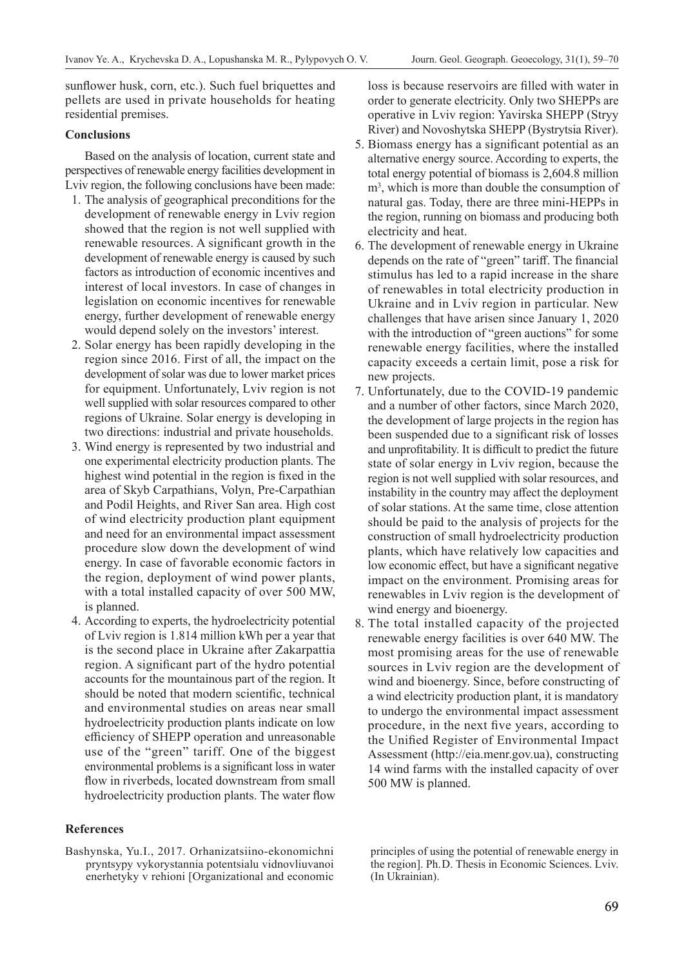sunflower husk, corn, etc.). Such fuel briquettes and pellets are used in private households for heating residential premises.

## **Conclusions**

Based on the analysis of location, current state and perspectives of renewable energy facilities development in Lviv region, the following conclusions have been made:

- 1. The analysis of geographical preconditions for the development of renewable energy in Lviv region showed that the region is not well supplied with renewable resources. A significant growth in the development of renewable energy is caused by such factors as introduction of economic incentives and interest of local investors. In case of changes in legislation on economic incentives for renewable energy, further development of renewable energy would depend solely on the investors' interest.
- 2. Solar energy has been rapidly developing in the region since 2016. First of all, the impact on the development of solar was due to lower market prices for equipment. Unfortunately, Lviv region is not well supplied with solar resources compared to other regions of Ukraine. Solar energy is developing in two directions: industrial and private households.
- 3. Wind energy is represented by two industrial and one experimental electricity production plants. The highest wind potential in the region is fixed in the area of Skyb Carpathians, Volyn, Pre-Carpathian and Podil Heights, and River San area. High cost of wind electricity production plant equipment and need for an environmental impact assessment procedure slow down the development of wind energy. In case of favorable economic factors in the region, deployment of wind power plants, with a total installed capacity of over 500 MW, is planned.
- 4. According to experts, the hydroelectricity potential of Lviv region is 1.814 million kWh per a year that is the second place in Ukraine after Zakarpattia region. A significant part of the hydro potential accounts for the mountainous part of the region. It should be noted that modern scientific, technical and environmental studies on areas near small hydroelectricity production plants indicate on low efficiency of SHEPP operation and unreasonable use of the "green" tariff. One of the biggest environmental problems is a significant loss in water flow in riverbeds, located downstream from small hydroelectricity production plants. The water flow

## **References**

Bashynska, Yu.I., 2017. Orhanizatsiino-ekonomichni pryntsypy vykorystannia potentsialu vidnovliuvanoi enerhetyky v rehioni [Organizational and economic loss is because reservoirs are filled with water in order to generate electricity. Only two SHEPPs are operative in Lviv region: Yavirska SHEPP (Stryy River) and Novoshytska SHEPP (Bystrytsia River).

- 5. Biomass energy has a significant potential as an alternative energy source. According to experts, the total energy potential of biomass is 2,604.8 million m<sup>3</sup>, which is more than double the consumption of natural gas. Today, there are three mini-HEPPs in the region, running on biomass and producing both electricity and heat.
- 6. The development of renewable energy in Ukraine depends on the rate of "green" tariff. The financial stimulus has led to a rapid increase in the share of renewables in total electricity production in Ukraine and in Lviv region in particular. New challenges that have arisen since January 1, 2020 with the introduction of "green auctions" for some renewable energy facilities, where the installed capacity exceeds a certain limit, pose a risk for new projects.
- 7. Unfortunately, due to the COVID-19 pandemic and a number of other factors, since March 2020, the development of large projects in the region has been suspended due to a significant risk of losses and unprofitability. It is difficult to predict the future state of solar energy in Lviv region, because the region is not well supplied with solar resources, and instability in the country may affect the deployment of solar stations. At the same time, close attention should be paid to the analysis of projects for the construction of small hydroelectricity production plants, which have relatively low capacities and low economic effect, but have a significant negative impact on the environment. Promising areas for renewables in Lviv region is the development of wind energy and bioenergy.
- 8. The total installed capacity of the projected renewable energy facilities is over 640 MW. The most promising areas for the use of renewable sources in Lviv region are the development of wind and bioenergy. Since, before constructing of a wind electricity production plant, it is mandatory to undergo the environmental impact assessment procedure, in the next five years, according to the Unified Register of Environmental Impact Assessment (http://eia.menr.gov.ua), constructing 14 wind farms with the installed capacity of over 500 MW is planned.

principles of using the potential of renewable energy in the region]. Ph. D. Thesis in Economic Sciences. Lviv. (In Ukrainian).